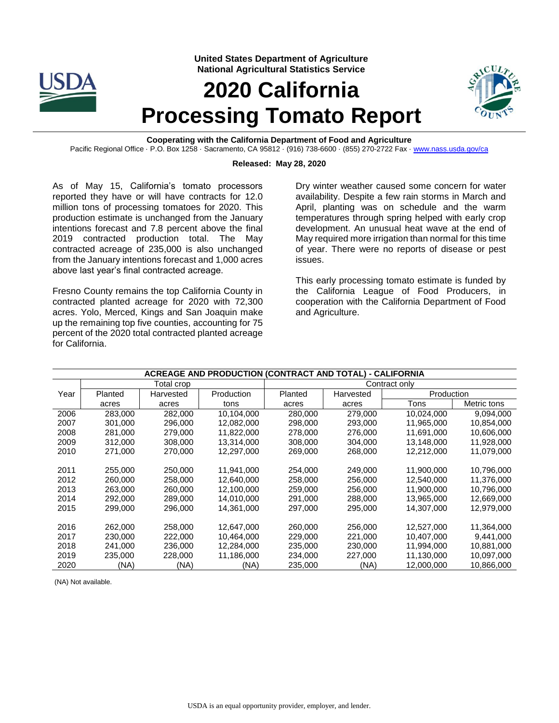

**United States Department of Agriculture National Agricultural Statistics Service**

# **2020 California Processing Tomato Report**



**Cooperating with the California Department of Food and Agriculture** Pacific Regional Office · P.O. Box 1258 · Sacramento, CA 95812 · (916) 738-6600 · (855) 270-2722 Fax · [www.nass.usda.gov/ca](http://www.nass.usda.gov/ca)

#### **Released: May 28, 2020**

As of May 15, California's tomato processors reported they have or will have contracts for 12.0 million tons of processing tomatoes for 2020. This production estimate is unchanged from the January intentions forecast and 7.8 percent above the final 2019 contracted production total. The May contracted acreage of 235,000 is also unchanged from the January intentions forecast and 1,000 acres above last year's final contracted acreage.

Fresno County remains the top California County in contracted planted acreage for 2020 with 72,300 acres. Yolo, Merced, Kings and San Joaquin make up the remaining top five counties, accounting for 75 percent of the 2020 total contracted planted acreage for California.

Dry winter weather caused some concern for water availability. Despite a few rain storms in March and April, planting was on schedule and the warm temperatures through spring helped with early crop development. An unusual heat wave at the end of May required more irrigation than normal for this time of year. There were no reports of disease or pest issues.

This early processing tomato estimate is funded by the California League of Food Producers, in cooperation with the California Department of Food and Agriculture.

| ACREAGE AND PRODUCTION (CONTRACT AND TOTAL) - CALIFORNIA |         |            |            |               |           |            |             |  |  |  |  |
|----------------------------------------------------------|---------|------------|------------|---------------|-----------|------------|-------------|--|--|--|--|
|                                                          |         | Total crop |            | Contract only |           |            |             |  |  |  |  |
| Year                                                     | Planted | Harvested  | Production | Planted       | Harvested | Production |             |  |  |  |  |
|                                                          | acres   | acres      | tons       | acres         | acres     | Tons       | Metric tons |  |  |  |  |
| 2006                                                     | 283,000 | 282.000    | 10.104.000 | 280,000       | 279.000   | 10,024,000 | 9,094,000   |  |  |  |  |
| 2007                                                     | 301.000 | 296.000    | 12.082.000 | 298,000       | 293.000   | 11,965,000 | 10,854,000  |  |  |  |  |
| 2008                                                     | 281.000 | 279.000    | 11,822,000 | 278,000       | 276,000   | 11,691,000 | 10,606,000  |  |  |  |  |
| 2009                                                     | 312.000 | 308,000    | 13.314.000 | 308.000       | 304.000   | 13.148.000 | 11,928,000  |  |  |  |  |
| 2010                                                     | 271,000 | 270.000    | 12,297,000 | 269,000       | 268,000   | 12,212,000 | 11,079,000  |  |  |  |  |
|                                                          |         |            |            |               |           |            |             |  |  |  |  |
| 2011                                                     | 255.000 | 250,000    | 11.941.000 | 254.000       | 249.000   | 11,900,000 | 10,796,000  |  |  |  |  |
| 2012                                                     | 260,000 | 258,000    | 12,640,000 | 258,000       | 256,000   | 12,540,000 | 11,376,000  |  |  |  |  |
| 2013                                                     | 263.000 | 260,000    | 12.100.000 | 259,000       | 256,000   | 11.900.000 | 10,796,000  |  |  |  |  |
| 2014                                                     | 292.000 | 289.000    | 14,010,000 | 291.000       | 288,000   | 13,965,000 | 12,669,000  |  |  |  |  |
| 2015                                                     | 299,000 | 296.000    | 14,361,000 | 297,000       | 295,000   | 14,307,000 | 12,979,000  |  |  |  |  |
|                                                          |         |            |            |               |           |            |             |  |  |  |  |
| 2016                                                     | 262,000 | 258,000    | 12,647,000 | 260,000       | 256,000   | 12,527,000 | 11,364,000  |  |  |  |  |
| 2017                                                     | 230,000 | 222,000    | 10.464.000 | 229,000       | 221.000   | 10.407.000 | 9,441,000   |  |  |  |  |
| 2018                                                     | 241,000 | 236,000    | 12,284,000 | 235,000       | 230,000   | 11,994,000 | 10,881,000  |  |  |  |  |
| 2019                                                     | 235,000 | 228,000    | 11,186,000 | 234,000       | 227,000   | 11,130,000 | 10,097,000  |  |  |  |  |
| 2020                                                     | (NA)    | (NA)       | (NA)       | 235,000       | (NA)      | 12,000,000 | 10.866.000  |  |  |  |  |

#### **ACREAGE AND PRODUCTION (CONTRACT AND TOTAL) - CALIFORNIA**

(NA) Not available.